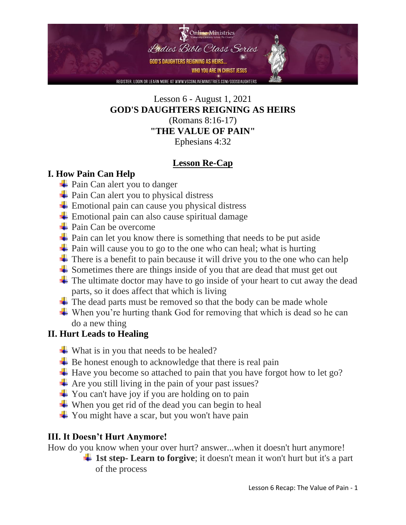

#### Lesson 6 - August 1, 2021 **GOD'S DAUGHTERS REIGNING AS HEIRS**

(Romans 8:16-17) **"THE VALUE OF PAIN"**

Ephesians 4:32

#### **Lesson Re-Cap**

#### **I. How Pain Can Help**

- $\frac{1}{\sqrt{2}}$  Pain Can alert you to danger
- $\overline{\phantom{a}}$  Pain Can alert you to physical distress
- $\pm$  Emotional pain can cause you physical distress
- $\overline{\phantom{a}}$  Emotional pain can also cause spiritual damage
- $\leftarrow$  Pain Can be overcome
- $\overline{\phantom{a}}$  Pain can let you know there is something that needs to be put aside
- $\overline{\phantom{a}}$  Pain will cause you to go to the one who can heal; what is hurting
- $\overline{\text{I}}$  There is a benefit to pain because it will drive you to the one who can help
- $\overline{\phantom{a}}$  Sometimes there are things inside of you that are dead that must get out
- $\overline{\text{I}}$  The ultimate doctor may have to go inside of your heart to cut away the dead parts, so it does affect that which is living
- $\pm$  The dead parts must be removed so that the body can be made whole
- $\ddot{\bullet}$  When you're hurting thank God for removing that which is dead so he can do a new thing

#### **II. Hurt Leads to Healing**

- $\div$  What is in you that needs to be healed?
- $\overline{\phantom{a}}$  Be honest enough to acknowledge that there is real pain
- $\pm$  Have you become so attached to pain that you have forgot how to let go?
- $\overline{\text{4}}$  Are you still living in the pain of your past issues?
- $\overline{\phantom{a}}$  You can't have joy if you are holding on to pain
- $\ddot{\bullet}$  When you get rid of the dead you can begin to heal
- $\overline{\phantom{a}}$  You might have a scar, but you won't have pain

#### **III. It Doesn't Hurt Anymore!**

How do you know when your over hurt? answer...when it doesn't hurt anymore!

**1st step- Learn to forgive**; it doesn't mean it won't hurt but it's a part of the process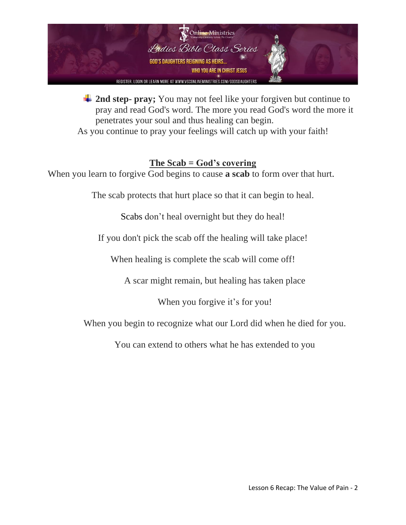

 $\frac{1}{\sqrt{2}}$  **2nd step- pray;** You may not feel like your forgiven but continue to pray and read God's word. The more you read God's word the more it penetrates your soul and thus healing can begin.

As you continue to pray your feelings will catch up with your faith!

#### **The Scab = God's covering**

When you learn to forgive God begins to cause **a scab** to form over that hurt.

The scab protects that hurt place so that it can begin to heal.

Scabs don't heal overnight but they do heal!

If you don't pick the scab off the healing will take place!

When healing is complete the scab will come off!

A scar might remain, but healing has taken place

When you forgive it's for you!

When you begin to recognize what our Lord did when he died for you.

You can extend to others what he has extended to you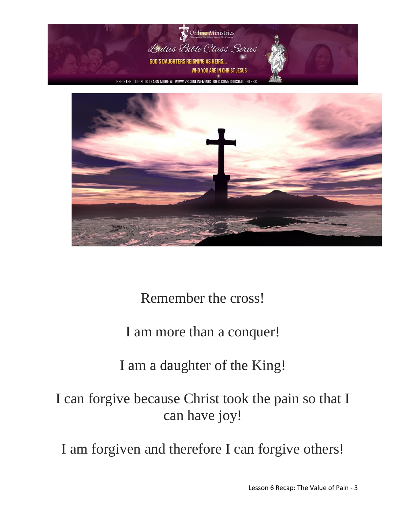



### Remember the cross!

### I am more than a conquer!

### I am a daughter of the King!

### I can forgive because Christ took the pain so that I can have joy!

I am forgiven and therefore I can forgive others!